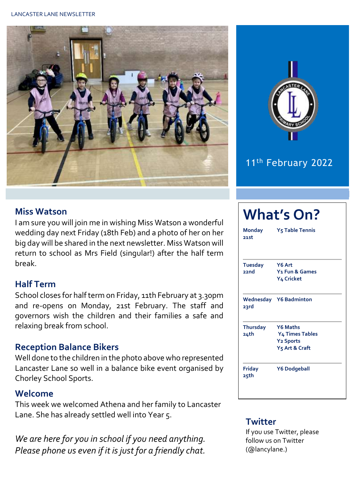#### LANCASTER LANE NEWSLETTER





# 11<sup>th</sup> February 2022

#### **Miss Watson**

I am sure you will join me in wishing Miss Watson a wonderful wedding day next Friday (18th Feb) and a photo of her on her big day will be shared in the next newsletter. Miss Watson will return to school as Mrs Field (singular!) after the half term break.

#### **Half Term**

School closes for half term on Friday, 11th February at 3.30pm and re-opens on Monday, 21st February. The staff and governors wish the children and their families a safe and relaxing break from school.

## **Reception Balance Bikers**

Well done to the children in the photo above who represented Lancaster Lane so well in a balance bike event organised by Chorley School Sports.

#### **Welcome**

This week we welcomed Athena and her family to Lancaster Lane. She has already settled well into Year 5.

*We are here for you in school if you need anything. Please phone us even if it is just for a friendly chat.* 

| <b>What's On?</b>       |                                                                                      |  |  |  |  |
|-------------------------|--------------------------------------------------------------------------------------|--|--|--|--|
| <b>Monday</b><br>21st   | <b>Y<sub>5</sub> Table Tennis</b>                                                    |  |  |  |  |
| <b>Tuesday</b><br>22nd  | Y6 Art<br>Y <sub>1</sub> Fun & Games<br>Y4 Cricket                                   |  |  |  |  |
| 23rd                    | <b>Wednesday</b> Y6 Badminton                                                        |  |  |  |  |
| <b>Thursday</b><br>24th | <b>Y6 Maths</b><br>Y4 Times Tables<br><b>Y2 Sports</b><br>Y <sub>5</sub> Art & Craft |  |  |  |  |
| <b>Friday</b><br>25th   | <b>Y6 Dodgeball</b>                                                                  |  |  |  |  |

### **Twitter**

If you use Twitter, please follow us on Twitter (@lancylane.)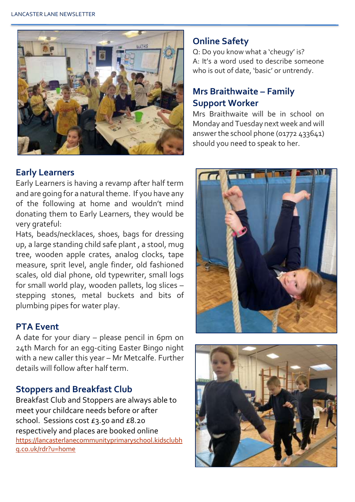

#### **Early Learners**

Early Learners is having a revamp after half term and are going for a natural theme. If you have any of the following at home and wouldn't mind donating them to Early Learners, they would be very grateful:

Hats, beads/necklaces, shoes, bags for dressing up, a large standing child safe plant , a stool, mug tree, wooden apple crates, analog clocks, tape measure, sprit level, angle finder, old fashioned scales, old dial phone, old typewriter, small logs for small world play, wooden pallets, log slices – stepping stones, metal buckets and bits of plumbing pipes for water play.

## **PTA Event**

A date for your diary – please pencil in 6pm on 24th March for an egg-citing Easter Bingo night with a new caller this year – Mr Metcalfe. Further details will follow after half term.

## **Stoppers and Breakfast Club**

Breakfast Club and Stoppers are always able to meet your childcare needs before or after school. Sessions cost £3.50 and £8.20 respectively and places are booked online [https://lancasterlanecommunityprimaryschool.kidsclubh](https://lancasterlanecommunityprimaryschool.kidsclubhq.co.uk/rdr?u=home) [q.co.uk/rdr?u=home](https://lancasterlanecommunityprimaryschool.kidsclubhq.co.uk/rdr?u=home)

## **Online Safety**

Q: Do you know what a 'cheugy' is? A: It's a word used to describe someone who is out of date, 'basic' or untrendy.

## **Mrs Braithwaite – Family Support Worker**

Mrs Braithwaite will be in school on Monday and Tuesday next week and will answer the school phone (01772 433641) should you need to speak to her.